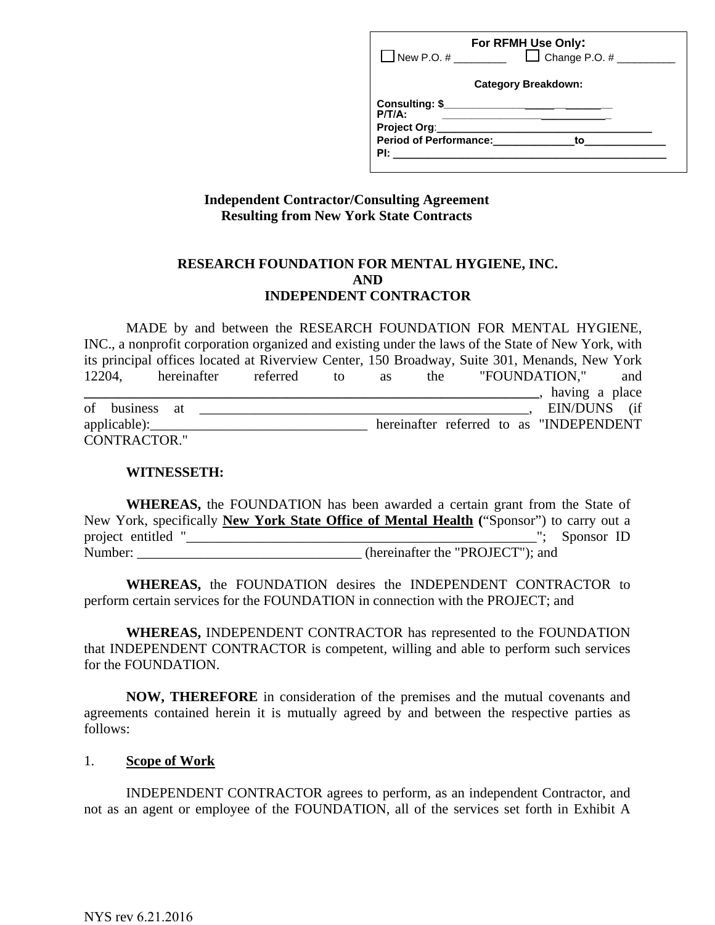| New P.O. $\#$                                                                                                                                                                                                                       | For RFMH Use Only:<br>$\Box$ Change P.O. #                                    |
|-------------------------------------------------------------------------------------------------------------------------------------------------------------------------------------------------------------------------------------|-------------------------------------------------------------------------------|
| <b>Category Breakdown:</b>                                                                                                                                                                                                          |                                                                               |
| P/T/A                                                                                                                                                                                                                               | Consulting: \$________________________<br><b>Period of Performance:</b><br>to |
| <b>PI:</b> the contract of the contract of the contract of the contract of the contract of the contract of the contract of the contract of the contract of the contract of the contract of the contract of the contract of the cont |                                                                               |

## **Independent Contractor/Consulting Agreement Resulting from New York State Contracts**

### **RESEARCH FOUNDATION FOR MENTAL HYGIENE, INC. AND INDEPENDENT CONTRACTOR**

MADE by and between the RESEARCH FOUNDATION FOR MENTAL HYGIENE, INC., a nonprofit corporation organized and existing under the laws of the State of New York, with its principal offices located at Riverview Center, 150 Broadway, Suite 301, Menands, New York 12204, hereinafter referred to as the "FOUNDATION," and **\_\_\_\_\_\_\_\_\_\_\_\_\_\_\_\_\_\_\_\_\_\_\_\_\_\_\_\_\_\_\_\_\_\_\_\_\_\_\_\_\_\_\_\_\_\_\_\_\_\_\_\_\_\_\_\_\_\_\_\_\_\_\_\_\_**, having a place of business at  $\overline{a}$  EIN/DUNS (if applicable):\_\_\_\_\_\_\_\_\_\_\_\_\_\_\_\_\_\_\_\_\_\_\_\_\_\_\_\_\_\_\_ hereinafter referred to as "INDEPENDENT CONTRACTOR."

#### **WITNESSETH:**

 **WHEREAS,** the FOUNDATION has been awarded a certain grant from the State of New York, specifically **New York State Office of Mental Health (**"Sponsor") to carry out a project entitled "\_\_\_\_\_\_\_\_\_\_\_\_\_\_\_\_\_\_\_\_\_\_\_\_\_\_\_\_\_\_\_\_\_\_\_\_\_\_\_\_\_\_\_\_\_\_\_\_\_\_"; Sponsor ID Number: (hereinafter the "PROJECT"); and

 **WHEREAS,** the FOUNDATION desires the INDEPENDENT CONTRACTOR to perform certain services for the FOUNDATION in connection with the PROJECT; and

 **WHEREAS,** INDEPENDENT CONTRACTOR has represented to the FOUNDATION that INDEPENDENT CONTRACTOR is competent, willing and able to perform such services for the FOUNDATION.

 **NOW, THEREFORE** in consideration of the premises and the mutual covenants and agreements contained herein it is mutually agreed by and between the respective parties as follows:

### 1. **Scope of Work**

INDEPENDENT CONTRACTOR agrees to perform, as an independent Contractor, and not as an agent or employee of the FOUNDATION, all of the services set forth in Exhibit A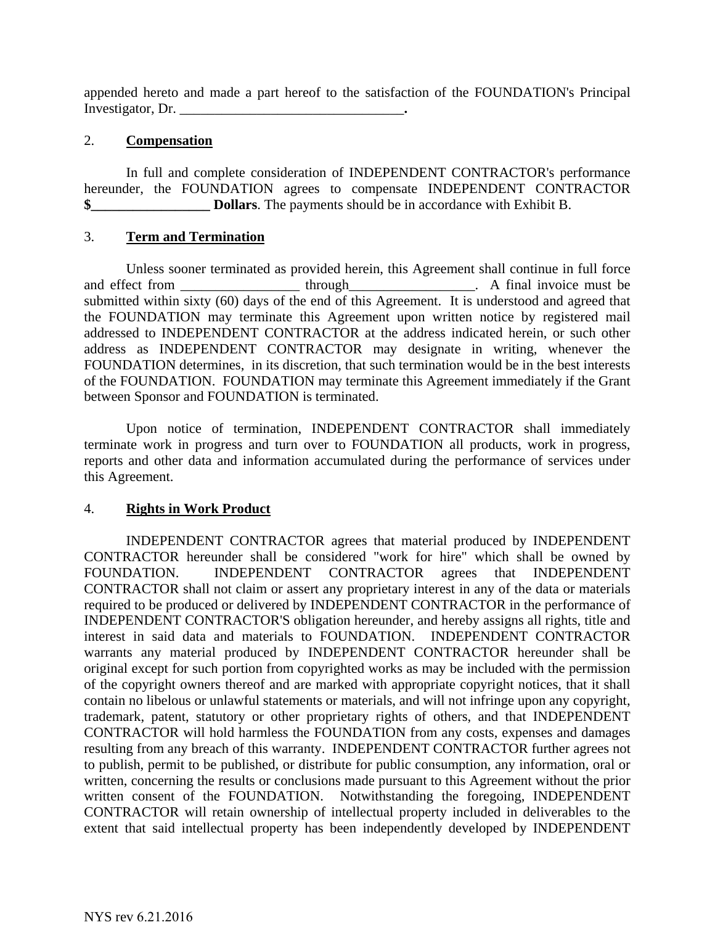appended hereto and made a part hereof to the satisfaction of the FOUNDATION's Principal Investigator, Dr.

### 2. **Compensation**

In full and complete consideration of INDEPENDENT CONTRACTOR's performance hereunder, the FOUNDATION agrees to compensate INDEPENDENT CONTRACTOR **\$\_\_\_\_\_\_\_\_\_\_\_\_\_\_\_\_\_ Dollars**. The payments should be in accordance with Exhibit B.

### 3. **Term and Termination**

Unless sooner terminated as provided herein, this Agreement shall continue in full force and effect from \_\_\_\_\_\_\_\_\_\_\_\_\_\_\_\_\_\_\_\_\_\_ through\_\_\_\_\_\_\_\_\_\_\_\_\_\_\_\_. A final invoice must be submitted within sixty (60) days of the end of this Agreement. It is understood and agreed that the FOUNDATION may terminate this Agreement upon written notice by registered mail addressed to INDEPENDENT CONTRACTOR at the address indicated herein, or such other address as INDEPENDENT CONTRACTOR may designate in writing, whenever the FOUNDATION determines, in its discretion, that such termination would be in the best interests of the FOUNDATION. FOUNDATION may terminate this Agreement immediately if the Grant between Sponsor and FOUNDATION is terminated.

Upon notice of termination, INDEPENDENT CONTRACTOR shall immediately terminate work in progress and turn over to FOUNDATION all products, work in progress, reports and other data and information accumulated during the performance of services under this Agreement.

### 4. **Rights in Work Product**

INDEPENDENT CONTRACTOR agrees that material produced by INDEPENDENT CONTRACTOR hereunder shall be considered "work for hire" which shall be owned by FOUNDATION. INDEPENDENT CONTRACTOR agrees that INDEPENDENT CONTRACTOR shall not claim or assert any proprietary interest in any of the data or materials required to be produced or delivered by INDEPENDENT CONTRACTOR in the performance of INDEPENDENT CONTRACTOR'S obligation hereunder, and hereby assigns all rights, title and interest in said data and materials to FOUNDATION. INDEPENDENT CONTRACTOR warrants any material produced by INDEPENDENT CONTRACTOR hereunder shall be original except for such portion from copyrighted works as may be included with the permission of the copyright owners thereof and are marked with appropriate copyright notices, that it shall contain no libelous or unlawful statements or materials, and will not infringe upon any copyright, trademark, patent, statutory or other proprietary rights of others, and that INDEPENDENT CONTRACTOR will hold harmless the FOUNDATION from any costs, expenses and damages resulting from any breach of this warranty. INDEPENDENT CONTRACTOR further agrees not to publish, permit to be published, or distribute for public consumption, any information, oral or written, concerning the results or conclusions made pursuant to this Agreement without the prior written consent of the FOUNDATION. Notwithstanding the foregoing, INDEPENDENT CONTRACTOR will retain ownership of intellectual property included in deliverables to the extent that said intellectual property has been independently developed by INDEPENDENT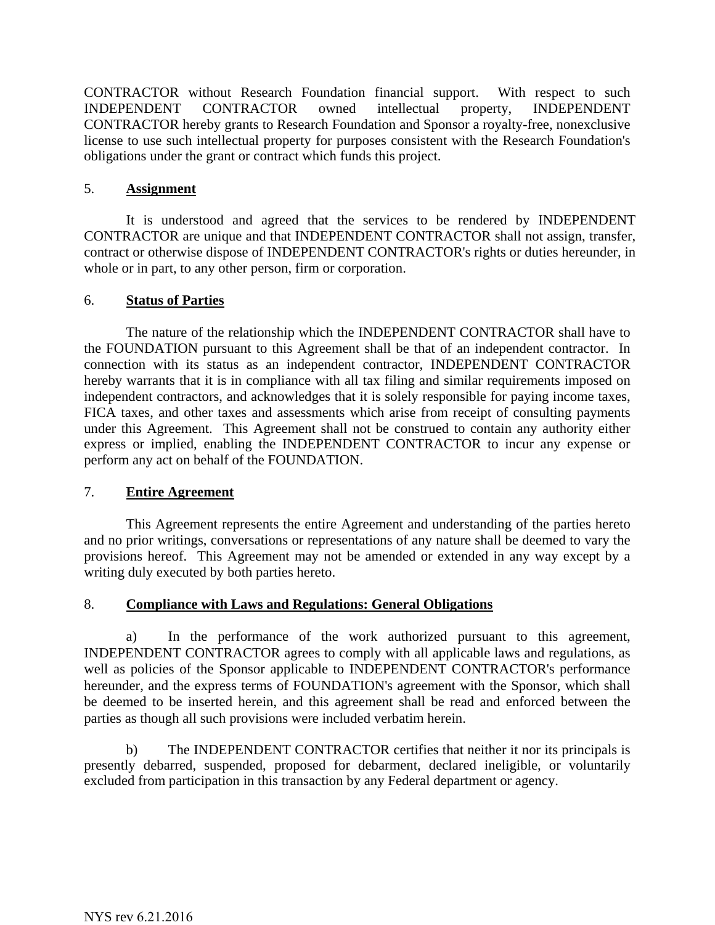CONTRACTOR without Research Foundation financial support. With respect to such INDEPENDENT CONTRACTOR owned intellectual property, INDEPENDENT CONTRACTOR hereby grants to Research Foundation and Sponsor a royalty-free, nonexclusive license to use such intellectual property for purposes consistent with the Research Foundation's obligations under the grant or contract which funds this project.

### 5. **Assignment**

It is understood and agreed that the services to be rendered by INDEPENDENT CONTRACTOR are unique and that INDEPENDENT CONTRACTOR shall not assign, transfer, contract or otherwise dispose of INDEPENDENT CONTRACTOR's rights or duties hereunder, in whole or in part, to any other person, firm or corporation.

#### 6. **Status of Parties**

The nature of the relationship which the INDEPENDENT CONTRACTOR shall have to the FOUNDATION pursuant to this Agreement shall be that of an independent contractor. In connection with its status as an independent contractor, INDEPENDENT CONTRACTOR hereby warrants that it is in compliance with all tax filing and similar requirements imposed on independent contractors, and acknowledges that it is solely responsible for paying income taxes, FICA taxes, and other taxes and assessments which arise from receipt of consulting payments under this Agreement. This Agreement shall not be construed to contain any authority either express or implied, enabling the INDEPENDENT CONTRACTOR to incur any expense or perform any act on behalf of the FOUNDATION.

### 7. **Entire Agreement**

This Agreement represents the entire Agreement and understanding of the parties hereto and no prior writings, conversations or representations of any nature shall be deemed to vary the provisions hereof. This Agreement may not be amended or extended in any way except by a writing duly executed by both parties hereto.

### 8. **Compliance with Laws and Regulations: General Obligations**

a) In the performance of the work authorized pursuant to this agreement, INDEPENDENT CONTRACTOR agrees to comply with all applicable laws and regulations, as well as policies of the Sponsor applicable to INDEPENDENT CONTRACTOR's performance hereunder, and the express terms of FOUNDATION's agreement with the Sponsor, which shall be deemed to be inserted herein, and this agreement shall be read and enforced between the parties as though all such provisions were included verbatim herein.

b) The INDEPENDENT CONTRACTOR certifies that neither it nor its principals is presently debarred, suspended, proposed for debarment, declared ineligible, or voluntarily excluded from participation in this transaction by any Federal department or agency.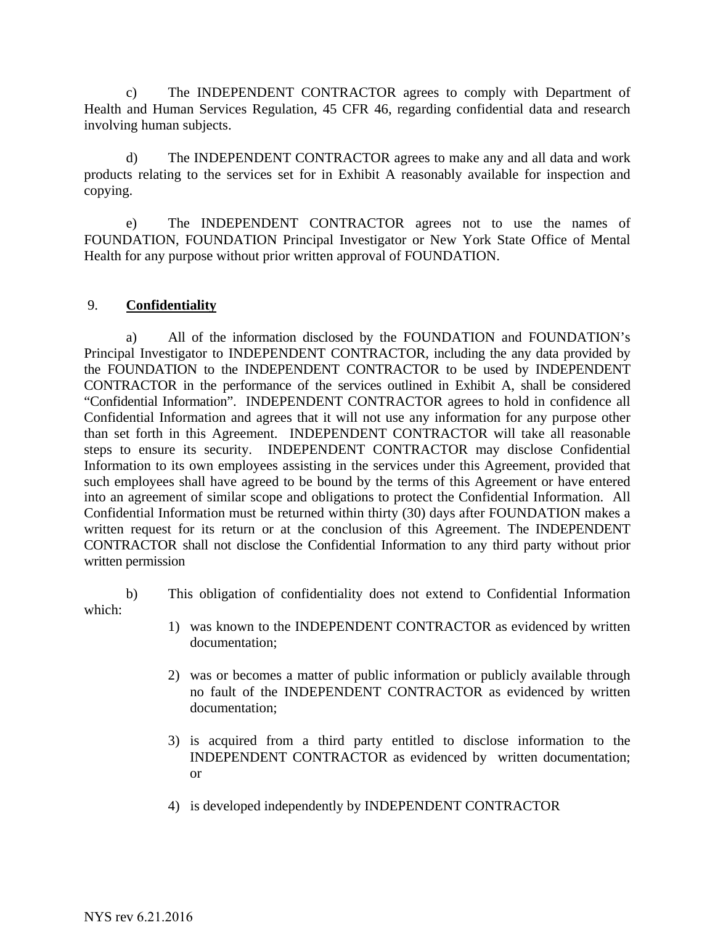c) The INDEPENDENT CONTRACTOR agrees to comply with Department of Health and Human Services Regulation, 45 CFR 46, regarding confidential data and research involving human subjects.

d) The INDEPENDENT CONTRACTOR agrees to make any and all data and work products relating to the services set for in Exhibit A reasonably available for inspection and copying.

e) The INDEPENDENT CONTRACTOR agrees not to use the names of FOUNDATION, FOUNDATION Principal Investigator or New York State Office of Mental Health for any purpose without prior written approval of FOUNDATION.

## 9. **Confidentiality**

a) All of the information disclosed by the FOUNDATION and FOUNDATION's Principal Investigator to INDEPENDENT CONTRACTOR, including the any data provided by the FOUNDATION to the INDEPENDENT CONTRACTOR to be used by INDEPENDENT CONTRACTOR in the performance of the services outlined in Exhibit A, shall be considered "Confidential Information". INDEPENDENT CONTRACTOR agrees to hold in confidence all Confidential Information and agrees that it will not use any information for any purpose other than set forth in this Agreement. INDEPENDENT CONTRACTOR will take all reasonable steps to ensure its security. INDEPENDENT CONTRACTOR may disclose Confidential Information to its own employees assisting in the services under this Agreement, provided that such employees shall have agreed to be bound by the terms of this Agreement or have entered into an agreement of similar scope and obligations to protect the Confidential Information. All Confidential Information must be returned within thirty (30) days after FOUNDATION makes a written request for its return or at the conclusion of this Agreement. The INDEPENDENT CONTRACTOR shall not disclose the Confidential Information to any third party without prior written permission

b) This obligation of confidentiality does not extend to Confidential Information which:

- 1) was known to the INDEPENDENT CONTRACTOR as evidenced by written documentation;
- 2) was or becomes a matter of public information or publicly available through no fault of the INDEPENDENT CONTRACTOR as evidenced by written documentation;
- 3) is acquired from a third party entitled to disclose information to the INDEPENDENT CONTRACTOR as evidenced by written documentation; or
- 4) is developed independently by INDEPENDENT CONTRACTOR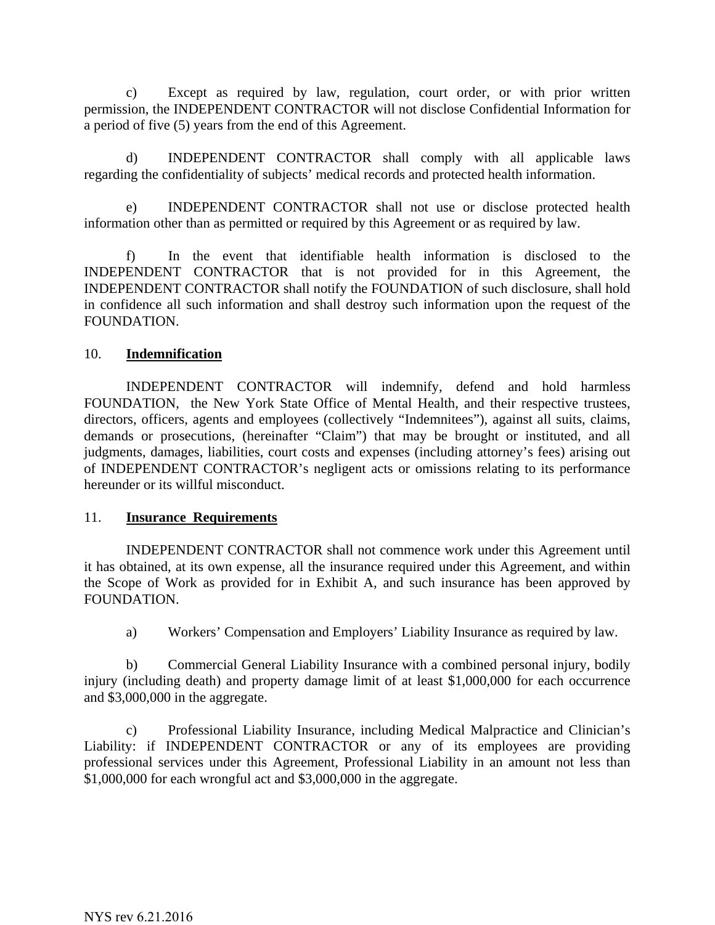c) Except as required by law, regulation, court order, or with prior written permission, the INDEPENDENT CONTRACTOR will not disclose Confidential Information for a period of five (5) years from the end of this Agreement.

d) INDEPENDENT CONTRACTOR shall comply with all applicable laws regarding the confidentiality of subjects' medical records and protected health information.

e) INDEPENDENT CONTRACTOR shall not use or disclose protected health information other than as permitted or required by this Agreement or as required by law.

f) In the event that identifiable health information is disclosed to the INDEPENDENT CONTRACTOR that is not provided for in this Agreement, the INDEPENDENT CONTRACTOR shall notify the FOUNDATION of such disclosure, shall hold in confidence all such information and shall destroy such information upon the request of the FOUNDATION.

### 10. **Indemnification**

INDEPENDENT CONTRACTOR will indemnify, defend and hold harmless FOUNDATION, the New York State Office of Mental Health, and their respective trustees, directors, officers, agents and employees (collectively "Indemnitees"), against all suits, claims, demands or prosecutions, (hereinafter "Claim") that may be brought or instituted, and all judgments, damages, liabilities, court costs and expenses (including attorney's fees) arising out of INDEPENDENT CONTRACTOR's negligent acts or omissions relating to its performance hereunder or its willful misconduct.

### 11. **Insurance Requirements**

INDEPENDENT CONTRACTOR shall not commence work under this Agreement until it has obtained, at its own expense, all the insurance required under this Agreement, and within the Scope of Work as provided for in Exhibit A, and such insurance has been approved by FOUNDATION.

a) Workers' Compensation and Employers' Liability Insurance as required by law.

b) Commercial General Liability Insurance with a combined personal injury, bodily injury (including death) and property damage limit of at least \$1,000,000 for each occurrence and \$3,000,000 in the aggregate.

c) Professional Liability Insurance, including Medical Malpractice and Clinician's Liability: if INDEPENDENT CONTRACTOR or any of its employees are providing professional services under this Agreement, Professional Liability in an amount not less than \$1,000,000 for each wrongful act and \$3,000,000 in the aggregate.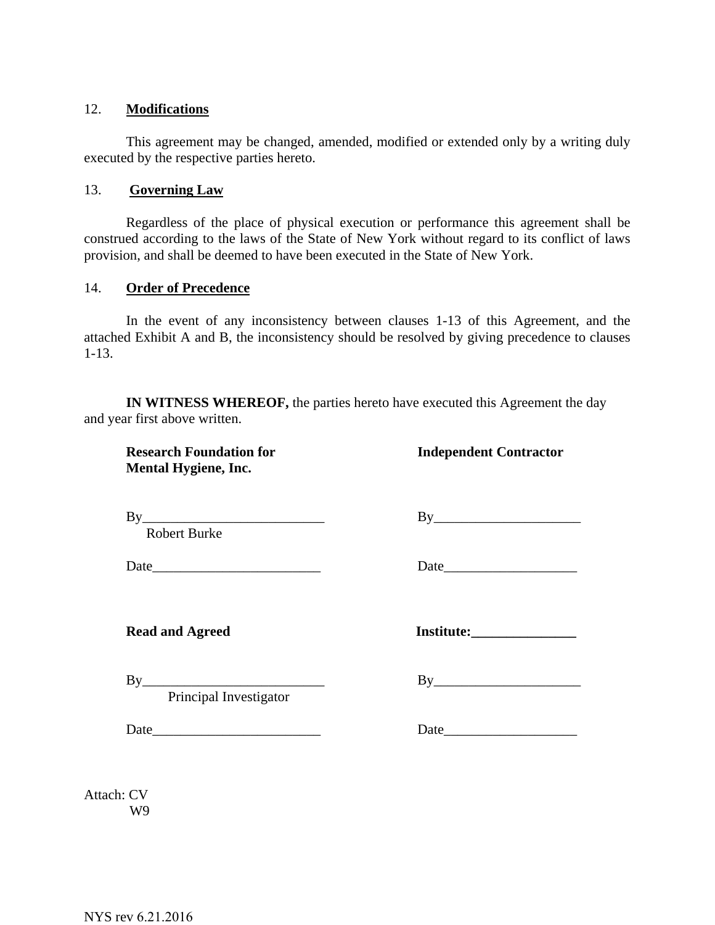### 12. **Modifications**

This agreement may be changed, amended, modified or extended only by a writing duly executed by the respective parties hereto.

#### 13. **Governing Law**

 Regardless of the place of physical execution or performance this agreement shall be construed according to the laws of the State of New York without regard to its conflict of laws provision, and shall be deemed to have been executed in the State of New York.

#### 14. **Order of Precedence**

In the event of any inconsistency between clauses 1-13 of this Agreement, and the attached Exhibit A and B, the inconsistency should be resolved by giving precedence to clauses 1-13.

**IN WITNESS WHEREOF,** the parties hereto have executed this Agreement the day and year first above written.

**Research Foundation for The Independent Contractor Mental Hygiene, Inc.**

 $\n By \n \underline{By \n \underline{By \n \underline{By \n \underline{By \n \underline{By \n \underline{By \n \underline{By \n \underline{By \n \underline{By \n \underline{By \n \underline{By \n \underline{By \n \underline{By \n \underline{By \n \underline{By \n \underline{By \n \underline{By \n \underline{By \n \underline{By \n \underline{By \n \underline{By \n \underline{By \n \underline{By \n \underline{By \n \underline{By \n \underline{By \n \underline{By$ 

Robert Burke

Date **Date Date Date Date Date Date Date Date** *Date* 

Read and Agreed **Institute:** 

By\_\_\_\_\_\_\_\_\_\_\_\_\_\_\_\_\_\_\_\_\_\_\_\_\_\_ By\_\_\_\_\_\_\_\_\_\_\_\_\_\_\_\_\_\_\_\_\_

Principal Investigator

Date\_\_\_\_\_\_\_\_\_\_\_\_\_\_\_\_\_\_\_\_\_\_\_\_ Date\_\_\_\_\_\_\_\_\_\_\_\_\_\_\_\_\_\_\_

Attach: CV W9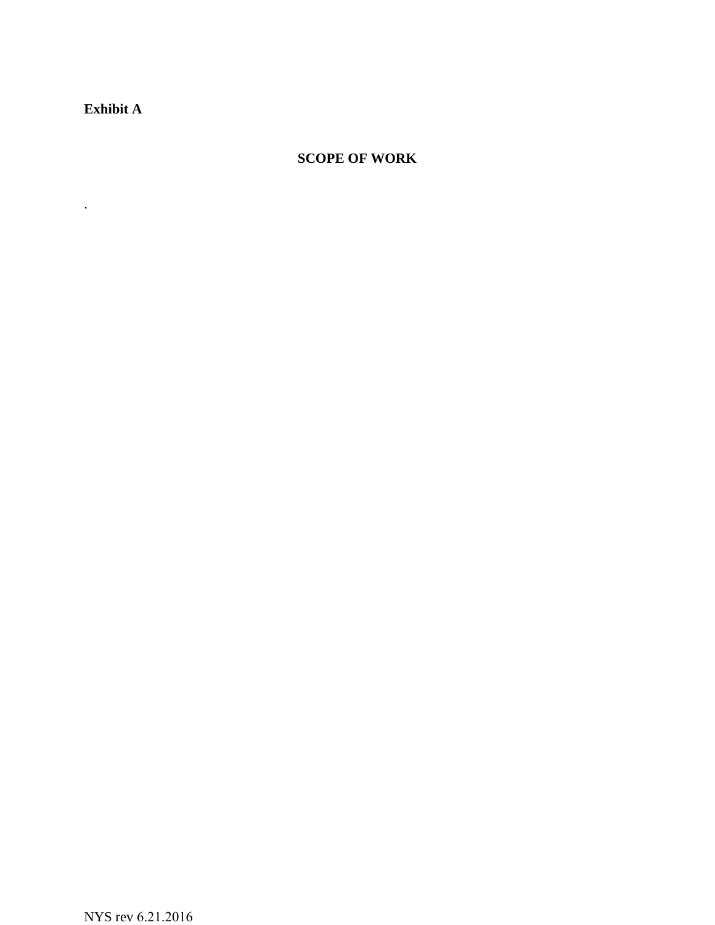**Exhibit A** 

.

# **SCOPE OF WORK**